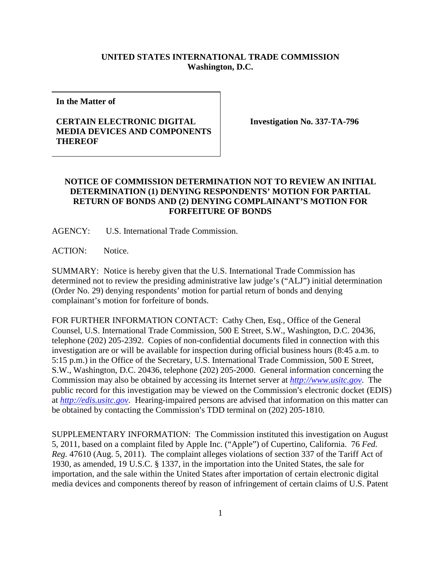## **UNITED STATES INTERNATIONAL TRADE COMMISSION Washington, D.C.**

**In the Matter of**

## **CERTAIN ELECTRONIC DIGITAL MEDIA DEVICES AND COMPONENTS THEREOF**

**Investigation No. 337-TA-796**

## **NOTICE OF COMMISSION DETERMINATION NOT TO REVIEW AN INITIAL DETERMINATION (1) DENYING RESPONDENTS' MOTION FOR PARTIAL RETURN OF BONDS AND (2) DENYING COMPLAINANT'S MOTION FOR FORFEITURE OF BONDS**

AGENCY: U.S. International Trade Commission.

ACTION: Notice.

SUMMARY: Notice is hereby given that the U.S. International Trade Commission has determined not to review the presiding administrative law judge's ("ALJ") initial determination (Order No. 29) denying respondents' motion for partial return of bonds and denying complainant's motion for forfeiture of bonds.

FOR FURTHER INFORMATION CONTACT: Cathy Chen, Esq., Office of the General Counsel, U.S. International Trade Commission, 500 E Street, S.W., Washington, D.C. 20436, telephone (202) 205-2392. Copies of non-confidential documents filed in connection with this investigation are or will be available for inspection during official business hours (8:45 a.m. to 5:15 p.m.) in the Office of the Secretary, U.S. International Trade Commission, 500 E Street, S.W., Washington, D.C. 20436, telephone (202) 205-2000. General information concerning the Commission may also be obtained by accessing its Internet server at *[http://www.usitc.gov](http://www.usitc.gov/)*. The public record for this investigation may be viewed on the Commission's electronic docket (EDIS) at *[http://edis.usitc.gov](http://edis.usitc.gov/)*. Hearing-impaired persons are advised that information on this matter can be obtained by contacting the Commission's TDD terminal on (202) 205-1810.

SUPPLEMENTARY INFORMATION: The Commission instituted this investigation on August 5, 2011, based on a complaint filed by Apple Inc. ("Apple") of Cupertino, California. 76 *Fed. Reg.* 47610 (Aug. 5, 2011). The complaint alleges violations of section 337 of the Tariff Act of 1930, as amended, 19 U.S.C. § 1337, in the importation into the United States, the sale for importation, and the sale within the United States after importation of certain electronic digital media devices and components thereof by reason of infringement of certain claims of U.S. Patent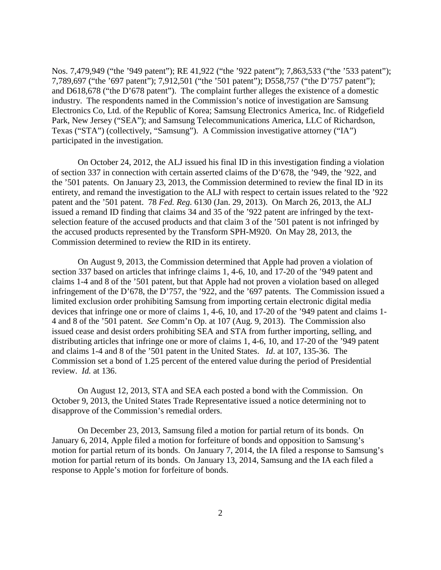Nos. 7,479,949 ("the '949 patent"); RE 41,922 ("the '922 patent"); 7,863,533 ("the '533 patent"); 7,789,697 ("the '697 patent"); 7,912,501 ("the '501 patent"); D558,757 ("the D'757 patent"); and D618,678 ("the D'678 patent"). The complaint further alleges the existence of a domestic industry. The respondents named in the Commission's notice of investigation are Samsung Electronics Co, Ltd. of the Republic of Korea; Samsung Electronics America, Inc. of Ridgefield Park, New Jersey ("SEA"); and Samsung Telecommunications America, LLC of Richardson, Texas ("STA") (collectively, "Samsung"). A Commission investigative attorney ("IA") participated in the investigation.

On October 24, 2012, the ALJ issued his final ID in this investigation finding a violation of section 337 in connection with certain asserted claims of the D'678, the '949, the '922, and the '501 patents. On January 23, 2013, the Commission determined to review the final ID in its entirety, and remand the investigation to the ALJ with respect to certain issues related to the '922 patent and the '501 patent. 78 *Fed. Reg.* 6130 (Jan. 29, 2013). On March 26, 2013, the ALJ issued a remand ID finding that claims 34 and 35 of the '922 patent are infringed by the textselection feature of the accused products and that claim 3 of the '501 patent is not infringed by the accused products represented by the Transform SPH-M920. On May 28, 2013, the Commission determined to review the RID in its entirety.

On August 9, 2013, the Commission determined that Apple had proven a violation of section 337 based on articles that infringe claims 1, 4-6, 10, and 17-20 of the '949 patent and claims 1-4 and 8 of the '501 patent, but that Apple had not proven a violation based on alleged infringement of the D'678, the D'757, the '922, and the '697 patents. The Commission issued a limited exclusion order prohibiting Samsung from importing certain electronic digital media devices that infringe one or more of claims 1, 4-6, 10, and 17-20 of the '949 patent and claims 1- 4 and 8 of the '501 patent. *See* Comm'n Op. at 107 (Aug. 9, 2013). The Commission also issued cease and desist orders prohibiting SEA and STA from further importing, selling, and distributing articles that infringe one or more of claims 1, 4-6, 10, and 17-20 of the '949 patent and claims 1-4 and 8 of the '501 patent in the United States. *Id*. at 107, 135-36. The Commission set a bond of 1.25 percent of the entered value during the period of Presidential review. *Id.* at 136.

On August 12, 2013, STA and SEA each posted a bond with the Commission. On October 9, 2013, the United States Trade Representative issued a notice determining not to disapprove of the Commission's remedial orders.

On December 23, 2013, Samsung filed a motion for partial return of its bonds. On January 6, 2014, Apple filed a motion for forfeiture of bonds and opposition to Samsung's motion for partial return of its bonds. On January 7, 2014, the IA filed a response to Samsung's motion for partial return of its bonds. On January 13, 2014, Samsung and the IA each filed a response to Apple's motion for forfeiture of bonds.